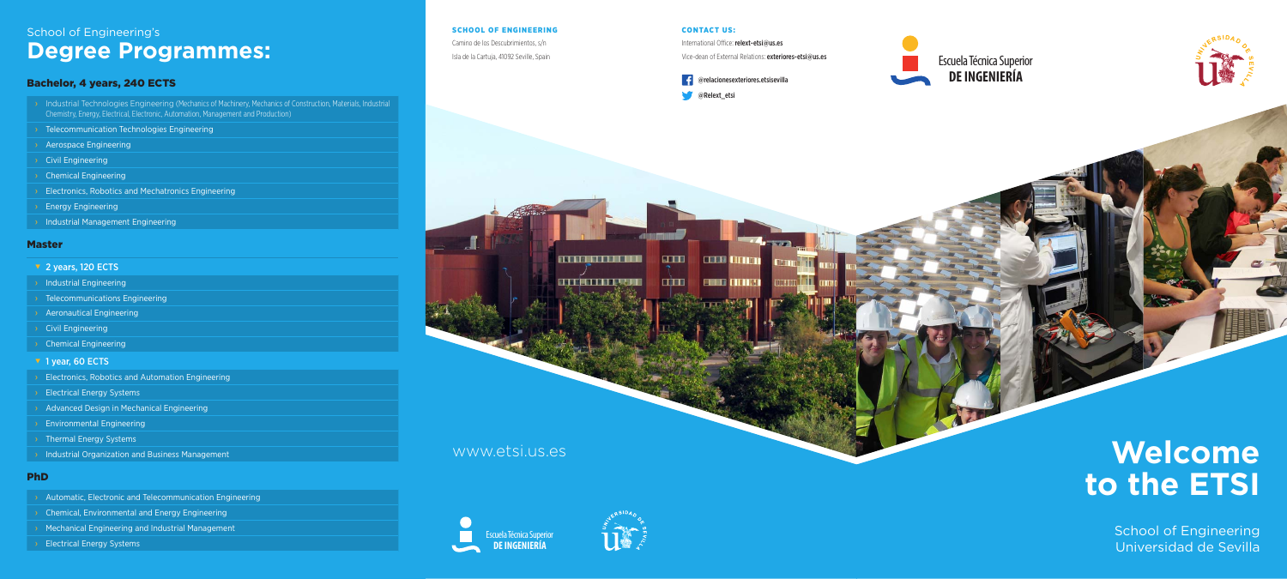#### CONTACT US:

**STORY** 

 $\overline{a}$ 

**THE REAL PROPERTY** 

**ALTERNATIVE RANGER** 

International Office: relext-etsi@us.es





**COLORITA** 

**END OTHER** 

#### SCHOOL OF ENGINEERING

- › Industrial Technologies Engineering (Mechanics of Machinery, Mechanics of Construction, Materials, Industrial Chemistry, Energy, Electrical, Electronic, Automation, Management and Production)
- › Telecommunication Technologies Engineering
- › Aerospace Engineering
- › Civil Engineering
- › Chemical Engineering
- **Electronics, Robotics and Mechatronics Engineering**
- **Energy Engineering**
- **Industrial Management Engineering**

Camino de los Descubrimientos, s/n Isla de la Cartuja, 41092 Seville, Spain









## www.etsi.us.es

## School of Engineering's **Degree Programmes:**

## Bachelor, 4 years, 240 ECTS

- ▼ 2 years, 120 ECTS
- **Industrial Engineering**
- **I** Telecommunications Engineering
- **Aeronautical Engineering**
- › Civil Engineering
- **Chemical Engineering**
- ▼ 1 year, 60 ECTS
- **Electronics, Robotics and Automation Engineering**
- **Electrical Energy Systems**
- Advanced Design in Mechanical Engineering
- **Environmental Engineering**
- › Thermal Energy Systems
- **Industrial Organization and Business Management**

- › Automatic, Electronic and Telecommunication Engineering
- › Chemical, Environmental and Energy Engineering
- **Mechanical Engineering and Industrial Management**
- **Electrical Energy Systems**

### Master

### PhD

# **Welcome to the ETSI**

School of Engineering Universidad de Sevilla